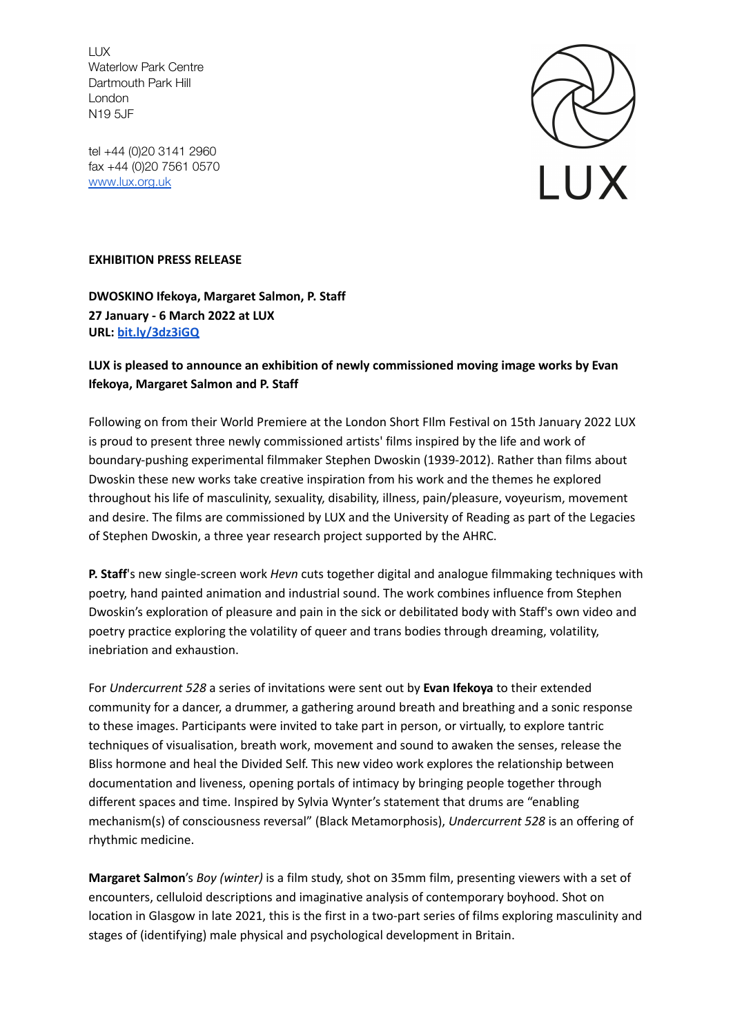LUX Waterlow Park Centre Dartmouth Park Hill London N19 5JF

tel +44 (0)20 3141 2960 fax +44 (0)20 7561 0570 [www.lux.org.uk](http://www.lux.org.uk)



## **EXHIBITION PRESS RELEASE**

**DWOSKINO Ifekoya, Margaret Salmon, P. Staff 27 January - 6 March 2022 at LUX URL: [bit.ly/3dz3iGQ](https://bit.ly/3dz3iGQ)**

## **LUX is pleased to announce an exhibition of newly commissioned moving image works by Evan Ifekoya, Margaret Salmon and P. Staff**

Following on from their World Premiere at the London Short FIlm Festival on 15th January 2022 LUX is proud to present three newly commissioned artists' films inspired by the life and work of boundary-pushing experimental filmmaker Stephen Dwoskin (1939-2012). Rather than films about Dwoskin these new works take creative inspiration from his work and the themes he explored throughout his life of masculinity, sexuality, disability, illness, pain/pleasure, voyeurism, movement and desire. The films are commissioned by LUX and the University of Reading as part of the Legacies of Stephen Dwoskin, a three year research project supported by the AHRC.

**P. Staff**'s new single-screen work *Hevn* cuts together digital and analogue filmmaking techniques with poetry, hand painted animation and industrial sound. The work combines influence from Stephen Dwoskin's exploration of pleasure and pain in the sick or debilitated body with Staff's own video and poetry practice exploring the volatility of queer and trans bodies through dreaming, volatility, inebriation and exhaustion.

For *Undercurrent 528* a series of invitations were sent out by **Evan Ifekoya** to their extended community for a dancer, a drummer, a gathering around breath and breathing and a sonic response to these images. Participants were invited to take part in person, or virtually, to explore tantric techniques of visualisation, breath work, movement and sound to awaken the senses, release the Bliss hormone and heal the Divided Self. This new video work explores the relationship between documentation and liveness, opening portals of intimacy by bringing people together through different spaces and time. Inspired by Sylvia Wynter's statement that drums are "enabling mechanism(s) of consciousness reversal" (Black Metamorphosis), *Undercurrent 528* is an offering of rhythmic medicine.

**Margaret Salmon**'s *Boy (winter)* is a film study, shot on 35mm film, presenting viewers with a set of encounters, celluloid descriptions and imaginative analysis of contemporary boyhood. Shot on location in Glasgow in late 2021, this is the first in a two-part series of films exploring masculinity and stages of (identifying) male physical and psychological development in Britain.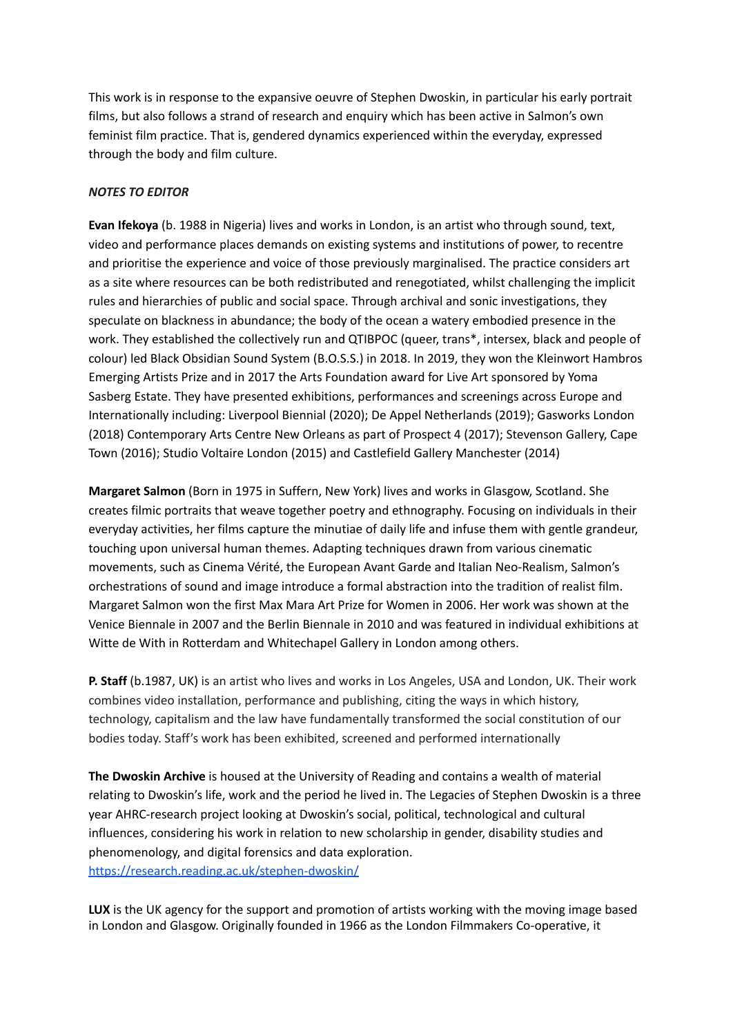This work is in response to the expansive oeuvre of Stephen Dwoskin, in particular his early portrait films, but also follows a strand of research and enquiry which has been active in Salmon's own feminist film practice. That is, gendered dynamics experienced within the everyday, expressed through the body and film culture.

## *NOTES TO EDITOR*

**Evan Ifekoya** (b. 1988 in Nigeria) lives and works in London, is an artist who through sound, text, video and performance places demands on existing systems and institutions of power, to recentre and prioritise the experience and voice of those previously marginalised. The practice considers art as a site where resources can be both redistributed and renegotiated, whilst challenging the implicit rules and hierarchies of public and social space. Through archival and sonic investigations, they speculate on blackness in abundance; the body of the ocean a watery embodied presence in the work. They established the collectively run and QTIBPOC (queer, trans\*, intersex, black and people of colour) led Black Obsidian Sound System (B.O.S.S.) in 2018. In 2019, they won the Kleinwort Hambros Emerging Artists Prize and in 2017 the Arts Foundation award for Live Art sponsored by Yoma Sasberg Estate. They have presented exhibitions, performances and screenings across Europe and Internationally including: Liverpool Biennial (2020); De Appel Netherlands (2019); Gasworks London (2018) Contemporary Arts Centre New Orleans as part of Prospect 4 (2017); Stevenson Gallery, Cape Town (2016); Studio Voltaire London (2015) and Castlefield Gallery Manchester (2014)

**Margaret Salmon** (Born in 1975 in Suffern, New York) lives and works in Glasgow, Scotland. She creates filmic portraits that weave together poetry and ethnography. Focusing on individuals in their everyday activities, her films capture the minutiae of daily life and infuse them with gentle grandeur, touching upon universal human themes. Adapting techniques drawn from various cinematic movements, such as Cinema Vérité, the European Avant Garde and Italian Neo-Realism, Salmon's orchestrations of sound and image introduce a formal abstraction into the tradition of realist film. Margaret Salmon won the first Max Mara Art Prize for Women in 2006. Her work was shown at the Venice Biennale in 2007 and the Berlin Biennale in 2010 and was featured in individual exhibitions at Witte de With in Rotterdam and Whitechapel Gallery in London among others.

**P. Staff** (b.1987, UK) is an artist who lives and works in Los Angeles, USA and London, UK. Their work combines video installation, performance and publishing, citing the ways in which history, technology, capitalism and the law have fundamentally transformed the social constitution of our bodies today. Staff's work has been exhibited, screened and performed internationally

**The Dwoskin Archive** is housed at the University of Reading and contains a wealth of material relating to Dwoskin's life, work and the period he lived in. The Legacies of Stephen Dwoskin is a three year AHRC-research project looking at Dwoskin's social, political, technological and cultural influences, considering his work in relation to new scholarship in gender, disability studies and phenomenology, and digital forensics and data exploration. <https://research.reading.ac.uk/stephen-dwoskin/>

**LUX** is the UK agency for the support and promotion of artists working with the moving image based in London and Glasgow. Originally founded in 1966 as the London Filmmakers Co-operative, it